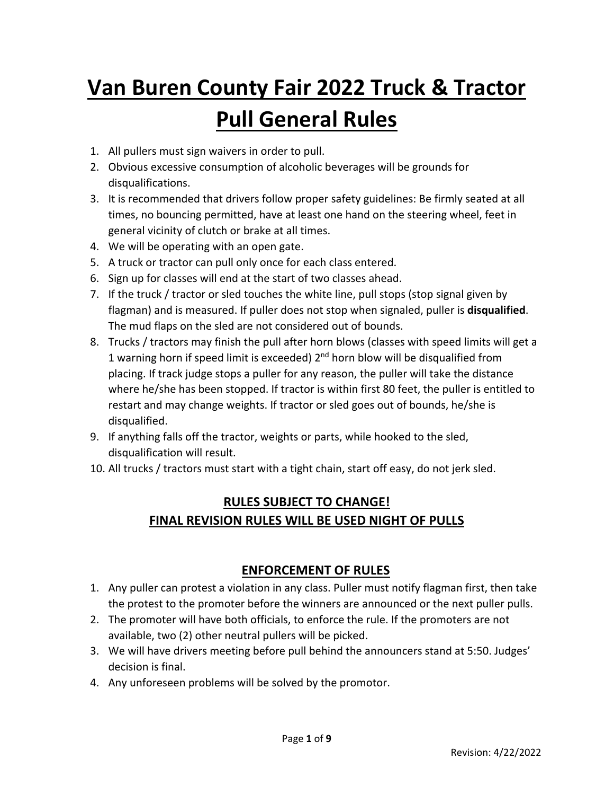# **Van Buren County Fair 2022 Truck & Tractor Pull General Rules**

- 1. All pullers must sign waivers in order to pull.
- 2. Obvious excessive consumption of alcoholic beverages will be grounds for disqualifications.
- 3. It is recommended that drivers follow proper safety guidelines: Be firmly seated at all times, no bouncing permitted, have at least one hand on the steering wheel, feet in general vicinity of clutch or brake at all times.
- 4. We will be operating with an open gate.
- 5. A truck or tractor can pull only once for each class entered.
- 6. Sign up for classes will end at the start of two classes ahead.
- 7. If the truck / tractor or sled touches the white line, pull stops (stop signal given by flagman) and is measured. If puller does not stop when signaled, puller is **disqualified**. The mud flaps on the sled are not considered out of bounds.
- 8. Trucks / tractors may finish the pull after horn blows (classes with speed limits will get a 1 warning horn if speed limit is exceeded)  $2<sup>nd</sup>$  horn blow will be disqualified from placing. If track judge stops a puller for any reason, the puller will take the distance where he/she has been stopped. If tractor is within first 80 feet, the puller is entitled to restart and may change weights. If tractor or sled goes out of bounds, he/she is disqualified.
- 9. If anything falls off the tractor, weights or parts, while hooked to the sled, disqualification will result.
- 10. All trucks / tractors must start with a tight chain, start off easy, do not jerk sled.

## **RULES SUBJECT TO CHANGE! FINAL REVISION RULES WILL BE USED NIGHT OF PULLS**

## **ENFORCEMENT OF RULES**

- 1. Any puller can protest a violation in any class. Puller must notify flagman first, then take the protest to the promoter before the winners are announced or the next puller pulls.
- 2. The promoter will have both officials, to enforce the rule. If the promoters are not available, two (2) other neutral pullers will be picked.
- 3. We will have drivers meeting before pull behind the announcers stand at 5:50. Judges' decision is final.
- 4. Any unforeseen problems will be solved by the promotor.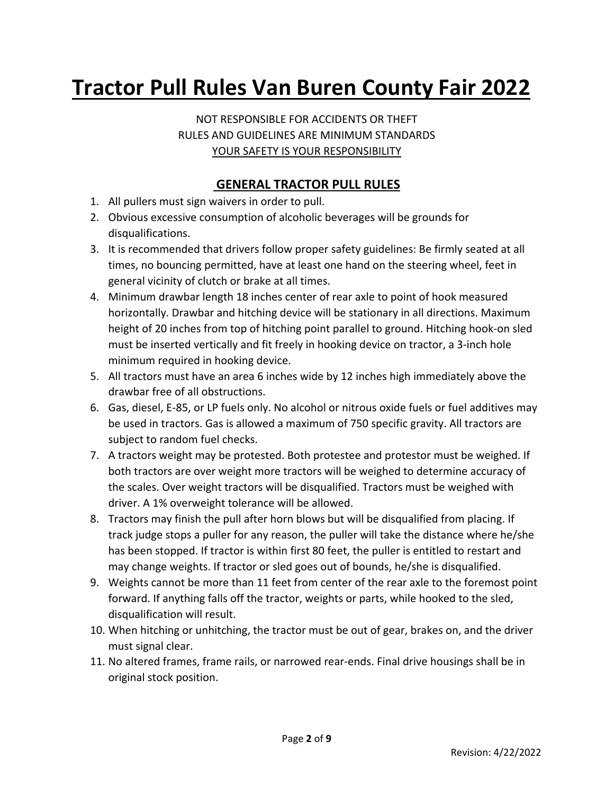## **Tractor Pull Rules Van Buren County Fair 2022**

NOT RESPONSIBLE FOR ACCIDENTS OR THEFT RULES AND GUIDELINES ARE MINIMUM STANDARDS YOUR SAFETY IS YOUR RESPONSIBILITY

## **GENERAL TRACTOR PULL RULES**

- 1. All pullers must sign waivers in order to pull.
- 2. Obvious excessive consumption of alcoholic beverages will be grounds for disqualifications.
- 3. It is recommended that drivers follow proper safety guidelines: Be firmly seated at all times, no bouncing permitted, have at least one hand on the steering wheel, feet in general vicinity of clutch or brake at all times.
- 4. Minimum drawbar length 18 inches center of rear axle to point of hook measured horizontally. Drawbar and hitching device will be stationary in all directions. Maximum height of 20 inches from top of hitching point parallel to ground. Hitching hook-on sled must be inserted vertically and fit freely in hooking device on tractor, a 3-inch hole minimum required in hooking device.
- 5. All tractors must have an area 6 inches wide by 12 inches high immediately above the drawbar free of all obstructions.
- 6. Gas, diesel, E-85, or LP fuels only. No alcohol or nitrous oxide fuels or fuel additives may be used in tractors. Gas is allowed a maximum of 750 specific gravity. All tractors are subject to random fuel checks.
- 7. A tractors weight may be protested. Both protestee and protestor must be weighed. If both tractors are over weight more tractors will be weighed to determine accuracy of the scales. Over weight tractors will be disqualified. Tractors must be weighed with driver. A 1% overweight tolerance will be allowed.
- 8. Tractors may finish the pull after horn blows but will be disqualified from placing. If track judge stops a puller for any reason, the puller will take the distance where he/she has been stopped. If tractor is within first 80 feet, the puller is entitled to restart and may change weights. If tractor or sled goes out of bounds, he/she is disqualified.
- 9. Weights cannot be more than 11 feet from center of the rear axle to the foremost point forward. If anything falls off the tractor, weights or parts, while hooked to the sled, disqualification will result.
- 10. When hitching or unhitching, the tractor must be out of gear, brakes on, and the driver must signal clear.
- 11. No altered frames, frame rails, or narrowed rear-ends. Final drive housings shall be in original stock position.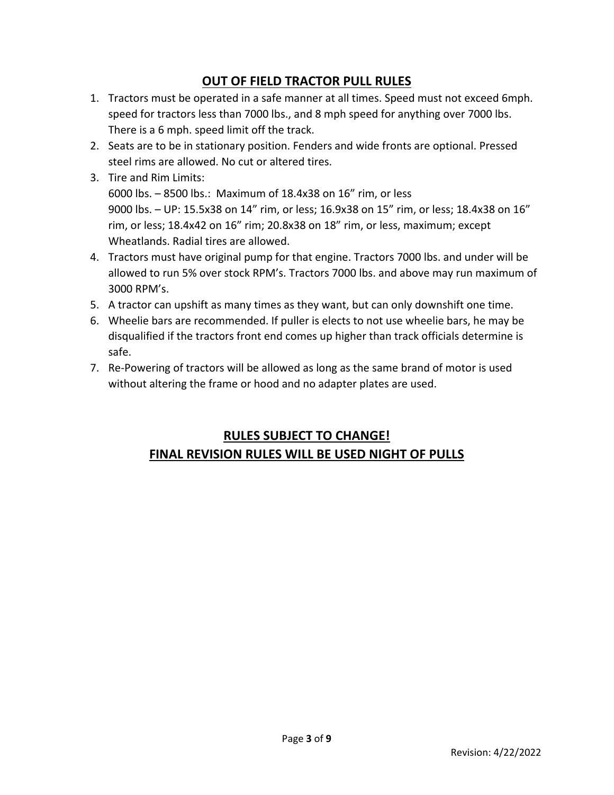## **OUT OF FIELD TRACTOR PULL RULES**

- 1. Tractors must be operated in a safe manner at all times. Speed must not exceed 6mph. speed for tractors less than 7000 lbs., and 8 mph speed for anything over 7000 lbs. There is a 6 mph. speed limit off the track.
- 2. Seats are to be in stationary position. Fenders and wide fronts are optional. Pressed steel rims are allowed. No cut or altered tires.
- 3. Tire and Rim Limits: 6000 lbs. – 8500 lbs.: Maximum of 18.4x38 on 16" rim, or less 9000 lbs. – UP: 15.5x38 on 14" rim, or less; 16.9x38 on 15" rim, or less; 18.4x38 on 16" rim, or less; 18.4x42 on 16" rim; 20.8x38 on 18" rim, or less, maximum; except Wheatlands. Radial tires are allowed.
- 4. Tractors must have original pump for that engine. Tractors 7000 lbs. and under will be allowed to run 5% over stock RPM's. Tractors 7000 lbs. and above may run maximum of 3000 RPM's.
- 5. A tractor can upshift as many times as they want, but can only downshift one time.
- 6. Wheelie bars are recommended. If puller is elects to not use wheelie bars, he may be disqualified if the tractors front end comes up higher than track officials determine is safe.
- 7. Re-Powering of tractors will be allowed as long as the same brand of motor is used without altering the frame or hood and no adapter plates are used.

## **RULES SUBJECT TO CHANGE! FINAL REVISION RULES WILL BE USED NIGHT OF PULLS**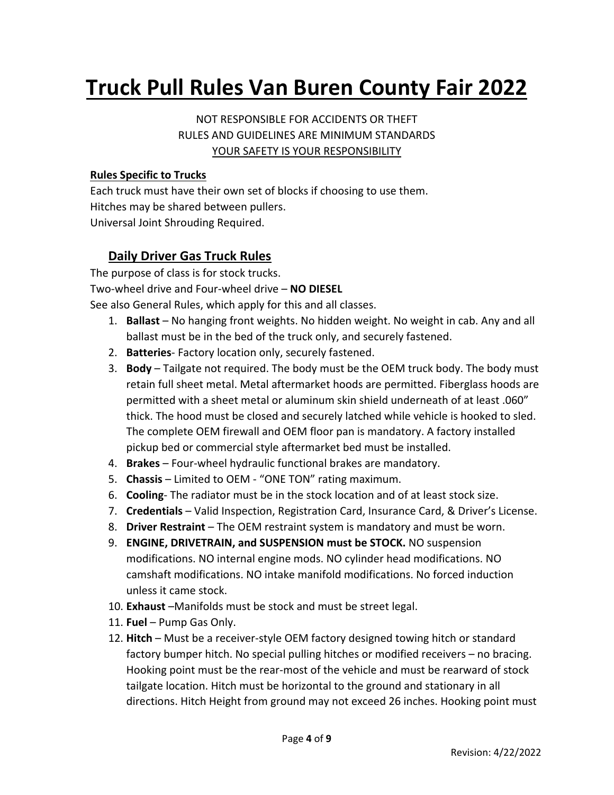## **Truck Pull Rules Van Buren County Fair 2022**

NOT RESPONSIBLE FOR ACCIDENTS OR THEFT RULES AND GUIDELINES ARE MINIMUM STANDARDS YOUR SAFETY IS YOUR RESPONSIBILITY

#### **Rules Specific to Trucks**

Each truck must have their own set of blocks if choosing to use them. Hitches may be shared between pullers. Universal Joint Shrouding Required.

## **Daily Driver Gas Truck Rules**

The purpose of class is for stock trucks. Two-wheel drive and Four-wheel drive – **NO DIESEL** See also General Rules, which apply for this and all classes.

- 1. **Ballast**  No hanging front weights. No hidden weight. No weight in cab. Any and all ballast must be in the bed of the truck only, and securely fastened.
- 2. **Batteries** Factory location only, securely fastened.
- 3. **Body**  Tailgate not required. The body must be the OEM truck body. The body must retain full sheet metal. Metal aftermarket hoods are permitted. Fiberglass hoods are permitted with a sheet metal or aluminum skin shield underneath of at least .060" thick. The hood must be closed and securely latched while vehicle is hooked to sled. The complete OEM firewall and OEM floor pan is mandatory. A factory installed pickup bed or commercial style aftermarket bed must be installed.
- 4. **Brakes** Four-wheel hydraulic functional brakes are mandatory.
- 5. **Chassis** Limited to OEM "ONE TON" rating maximum.
- 6. **Cooling** The radiator must be in the stock location and of at least stock size.
- 7. **Credentials** Valid Inspection, Registration Card, Insurance Card, & Driver's License.
- 8. **Driver Restraint** The OEM restraint system is mandatory and must be worn.
- 9. **ENGINE, DRIVETRAIN, and SUSPENSION must be STOCK.** NO suspension
- modifications. NO internal engine mods. NO cylinder head modifications. NO camshaft modifications. NO intake manifold modifications. No forced induction unless it came stock.
- 10. **Exhaust** –Manifolds must be stock and must be street legal.
- 11. **Fuel**  Pump Gas Only.
- 12. **Hitch**  Must be a receiver-style OEM factory designed towing hitch or standard factory bumper hitch. No special pulling hitches or modified receivers – no bracing. Hooking point must be the rear-most of the vehicle and must be rearward of stock tailgate location. Hitch must be horizontal to the ground and stationary in all directions. Hitch Height from ground may not exceed 26 inches. Hooking point must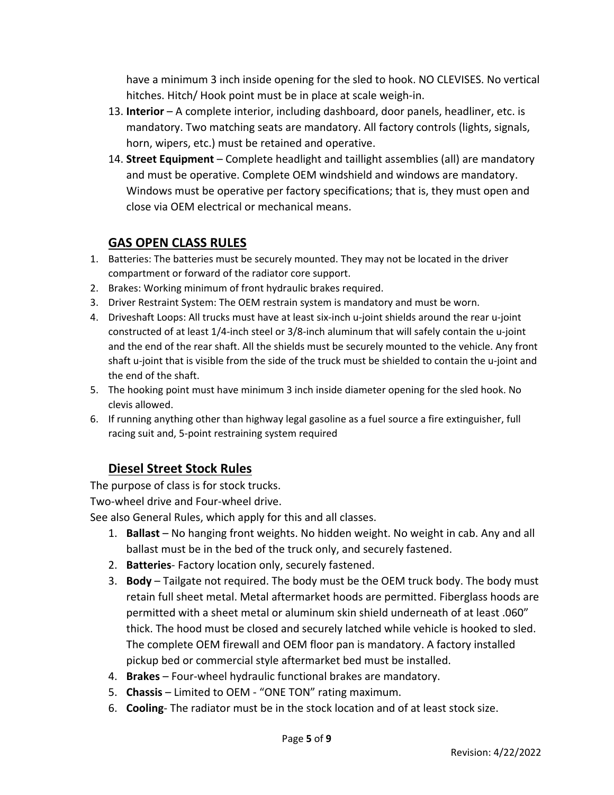have a minimum 3 inch inside opening for the sled to hook. NO CLEVISES. No vertical hitches. Hitch/ Hook point must be in place at scale weigh-in.

- 13. **Interior**  A complete interior, including dashboard, door panels, headliner, etc. is mandatory. Two matching seats are mandatory. All factory controls (lights, signals, horn, wipers, etc.) must be retained and operative.
- 14. **Street Equipment** Complete headlight and taillight assemblies (all) are mandatory and must be operative. Complete OEM windshield and windows are mandatory. Windows must be operative per factory specifications; that is, they must open and close via OEM electrical or mechanical means.

## **GAS OPEN CLASS RULES**

- 1. Batteries: The batteries must be securely mounted. They may not be located in the driver compartment or forward of the radiator core support.
- 2. Brakes: Working minimum of front hydraulic brakes required.
- 3. Driver Restraint System: The OEM restrain system is mandatory and must be worn.
- 4. Driveshaft Loops: All trucks must have at least six-inch u-joint shields around the rear u-joint constructed of at least 1/4-inch steel or 3/8-inch aluminum that will safely contain the u-joint and the end of the rear shaft. All the shields must be securely mounted to the vehicle. Any front shaft u-joint that is visible from the side of the truck must be shielded to contain the u-joint and the end of the shaft.
- 5. The hooking point must have minimum 3 inch inside diameter opening for the sled hook. No clevis allowed.
- 6. If running anything other than highway legal gasoline as a fuel source a fire extinguisher, full racing suit and, 5-point restraining system required

## **Diesel Street Stock Rules**

The purpose of class is for stock trucks.

Two-wheel drive and Four-wheel drive.

See also General Rules, which apply for this and all classes.

- 1. **Ballast**  No hanging front weights. No hidden weight. No weight in cab. Any and all ballast must be in the bed of the truck only, and securely fastened.
- 2. **Batteries** Factory location only, securely fastened.
- 3. **Body**  Tailgate not required. The body must be the OEM truck body. The body must retain full sheet metal. Metal aftermarket hoods are permitted. Fiberglass hoods are permitted with a sheet metal or aluminum skin shield underneath of at least .060" thick. The hood must be closed and securely latched while vehicle is hooked to sled. The complete OEM firewall and OEM floor pan is mandatory. A factory installed pickup bed or commercial style aftermarket bed must be installed.
- 4. **Brakes** Four-wheel hydraulic functional brakes are mandatory.
- 5. **Chassis** Limited to OEM "ONE TON" rating maximum.
- 6. **Cooling** The radiator must be in the stock location and of at least stock size.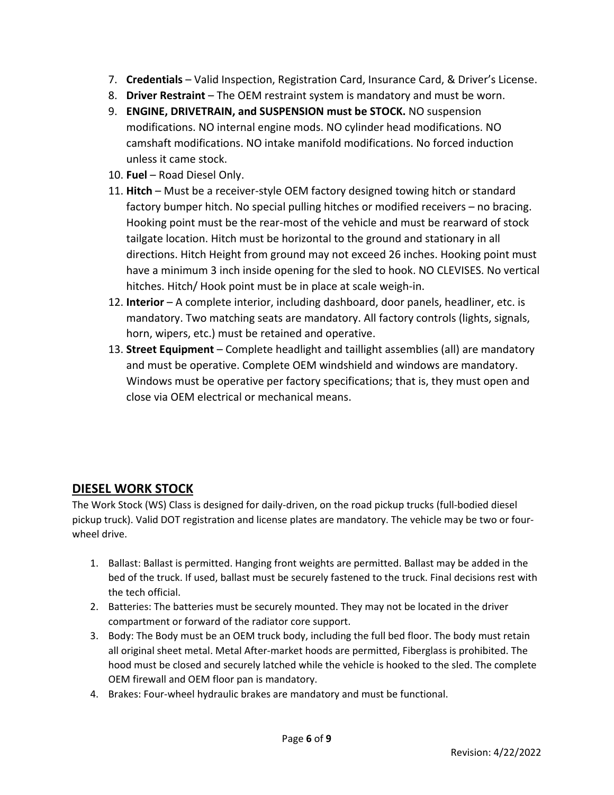- 7. **Credentials** Valid Inspection, Registration Card, Insurance Card, & Driver's License.
- 8. **Driver Restraint** The OEM restraint system is mandatory and must be worn.
- 9. **ENGINE, DRIVETRAIN, and SUSPENSION must be STOCK.** NO suspension modifications. NO internal engine mods. NO cylinder head modifications. NO camshaft modifications. NO intake manifold modifications. No forced induction unless it came stock.
- 10. **Fuel**  Road Diesel Only.
- 11. **Hitch**  Must be a receiver-style OEM factory designed towing hitch or standard factory bumper hitch. No special pulling hitches or modified receivers – no bracing. Hooking point must be the rear-most of the vehicle and must be rearward of stock tailgate location. Hitch must be horizontal to the ground and stationary in all directions. Hitch Height from ground may not exceed 26 inches. Hooking point must have a minimum 3 inch inside opening for the sled to hook. NO CLEVISES. No vertical hitches. Hitch/ Hook point must be in place at scale weigh-in.
- 12. **Interior**  A complete interior, including dashboard, door panels, headliner, etc. is mandatory. Two matching seats are mandatory. All factory controls (lights, signals, horn, wipers, etc.) must be retained and operative.
- 13. **Street Equipment** Complete headlight and taillight assemblies (all) are mandatory and must be operative. Complete OEM windshield and windows are mandatory. Windows must be operative per factory specifications; that is, they must open and close via OEM electrical or mechanical means.

## **DIESEL WORK STOCK**

The Work Stock (WS) Class is designed for daily-driven, on the road pickup trucks (full-bodied diesel pickup truck). Valid DOT registration and license plates are mandatory. The vehicle may be two or fourwheel drive.

- 1. Ballast: Ballast is permitted. Hanging front weights are permitted. Ballast may be added in the bed of the truck. If used, ballast must be securely fastened to the truck. Final decisions rest with the tech official.
- 2. Batteries: The batteries must be securely mounted. They may not be located in the driver compartment or forward of the radiator core support.
- 3. Body: The Body must be an OEM truck body, including the full bed floor. The body must retain all original sheet metal. Metal After-market hoods are permitted, Fiberglass is prohibited. The hood must be closed and securely latched while the vehicle is hooked to the sled. The complete OEM firewall and OEM floor pan is mandatory.
- 4. Brakes: Four-wheel hydraulic brakes are mandatory and must be functional.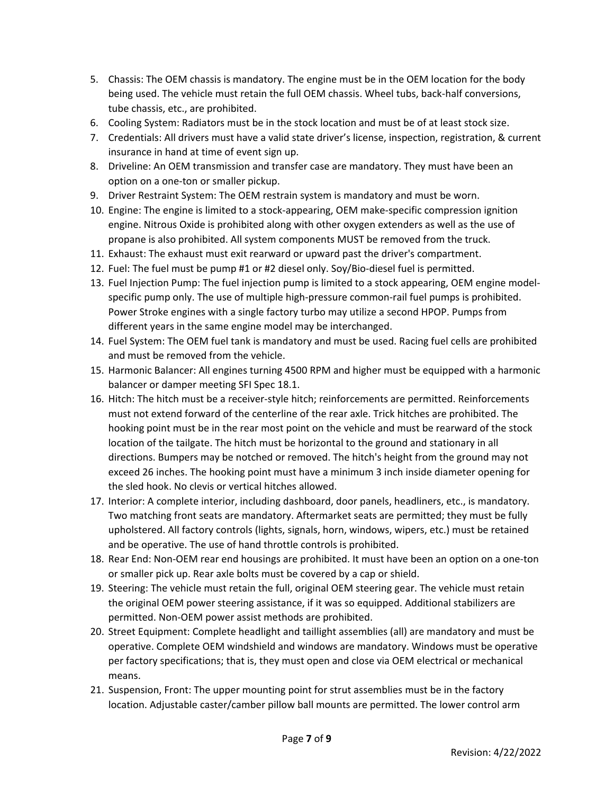- 5. Chassis: The OEM chassis is mandatory. The engine must be in the OEM location for the body being used. The vehicle must retain the full OEM chassis. Wheel tubs, back-half conversions, tube chassis, etc., are prohibited.
- 6. Cooling System: Radiators must be in the stock location and must be of at least stock size.
- 7. Credentials: All drivers must have a valid state driver's license, inspection, registration, & current insurance in hand at time of event sign up.
- 8. Driveline: An OEM transmission and transfer case are mandatory. They must have been an option on a one-ton or smaller pickup.
- 9. Driver Restraint System: The OEM restrain system is mandatory and must be worn.
- 10. Engine: The engine is limited to a stock-appearing, OEM make-specific compression ignition engine. Nitrous Oxide is prohibited along with other oxygen extenders as well as the use of propane is also prohibited. All system components MUST be removed from the truck.
- 11. Exhaust: The exhaust must exit rearward or upward past the driver's compartment.
- 12. Fuel: The fuel must be pump #1 or #2 diesel only. Soy/Bio-diesel fuel is permitted.
- 13. Fuel Injection Pump: The fuel injection pump is limited to a stock appearing, OEM engine modelspecific pump only. The use of multiple high-pressure common-rail fuel pumps is prohibited. Power Stroke engines with a single factory turbo may utilize a second HPOP. Pumps from different years in the same engine model may be interchanged.
- 14. Fuel System: The OEM fuel tank is mandatory and must be used. Racing fuel cells are prohibited and must be removed from the vehicle.
- 15. Harmonic Balancer: All engines turning 4500 RPM and higher must be equipped with a harmonic balancer or damper meeting SFI Spec 18.1.
- 16. Hitch: The hitch must be a receiver-style hitch; reinforcements are permitted. Reinforcements must not extend forward of the centerline of the rear axle. Trick hitches are prohibited. The hooking point must be in the rear most point on the vehicle and must be rearward of the stock location of the tailgate. The hitch must be horizontal to the ground and stationary in all directions. Bumpers may be notched or removed. The hitch's height from the ground may not exceed 26 inches. The hooking point must have a minimum 3 inch inside diameter opening for the sled hook. No clevis or vertical hitches allowed.
- 17. Interior: A complete interior, including dashboard, door panels, headliners, etc., is mandatory. Two matching front seats are mandatory. Aftermarket seats are permitted; they must be fully upholstered. All factory controls (lights, signals, horn, windows, wipers, etc.) must be retained and be operative. The use of hand throttle controls is prohibited.
- 18. Rear End: Non-OEM rear end housings are prohibited. It must have been an option on a one-ton or smaller pick up. Rear axle bolts must be covered by a cap or shield.
- 19. Steering: The vehicle must retain the full, original OEM steering gear. The vehicle must retain the original OEM power steering assistance, if it was so equipped. Additional stabilizers are permitted. Non-OEM power assist methods are prohibited.
- 20. Street Equipment: Complete headlight and taillight assemblies (all) are mandatory and must be operative. Complete OEM windshield and windows are mandatory. Windows must be operative per factory specifications; that is, they must open and close via OEM electrical or mechanical means.
- 21. Suspension, Front: The upper mounting point for strut assemblies must be in the factory location. Adjustable caster/camber pillow ball mounts are permitted. The lower control arm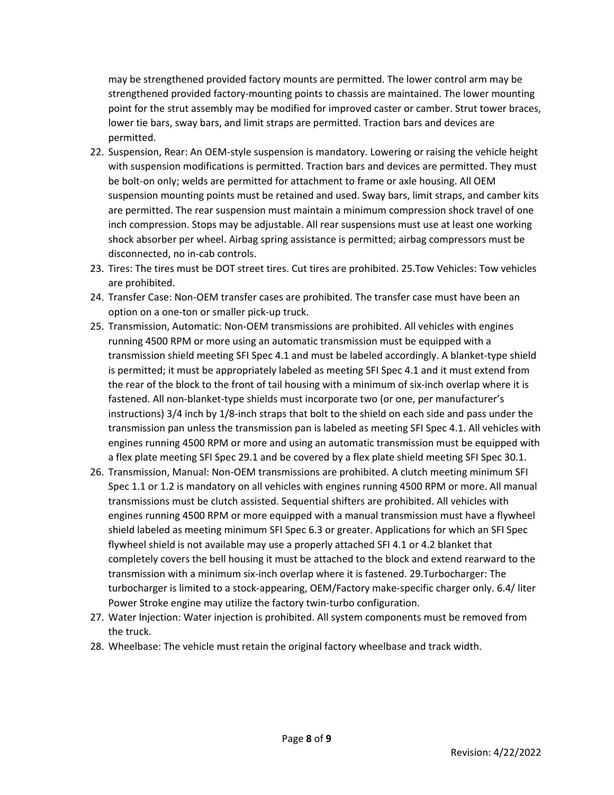may be strengthened provided factory mounts are permitted. The lower control arm may be strengthened provided factory-mounting points to chassis are maintained. The lower mounting point for the strut assembly may be modified for improved caster or camber. Strut tower braces, lower tie bars, sway bars, and limit straps are permitted. Traction bars and devices are permitted.

- 22. Suspension, Rear: An OEM-style suspension is mandatory. Lowering or raising the vehicle height with suspension modifications is permitted. Traction bars and devices are permitted. They must be bolt-on only; welds are permitted for attachment to frame or axle housing. All OEM suspension mounting points must be retained and used. Sway bars, limit straps, and camber kits are permitted. The rear suspension must maintain a minimum compression shock travel of one inch compression. Stops may be adjustable. All rear suspensions must use at least one working shock absorber per wheel. Airbag spring assistance is permitted; airbag compressors must be disconnected, no in-cab controls.
- 23. Tires: The tires must be DOT street tires. Cut tires are prohibited. 25.Tow Vehicles: Tow vehicles are prohibited.
- 24. Transfer Case: Non-OEM transfer cases are prohibited. The transfer case must have been an option on a one-ton or smaller pick-up truck.
- 25. Transmission, Automatic: Non-OEM transmissions are prohibited. All vehicles with engines running 4500 RPM or more using an automatic transmission must be equipped with a transmission shield meeting SFI Spec 4.1 and must be labeled accordingly. A blanket-type shield is permitted; it must be appropriately labeled as meeting SFI Spec 4.1 and it must extend from the rear of the block to the front of tail housing with a minimum of six-inch overlap where it is fastened. All non-blanket-type shields must incorporate two (or one, per manufacturer's instructions) 3/4 inch by 1/8-inch straps that bolt to the shield on each side and pass under the transmission pan unless the transmission pan is labeled as meeting SFI Spec 4.1. All vehicles with engines running 4500 RPM or more and using an automatic transmission must be equipped with a flex plate meeting SFI Spec 29.1 and be covered by a flex plate shield meeting SFI Spec 30.1.
- 26. Transmission, Manual: Non-OEM transmissions are prohibited. A clutch meeting minimum SFI Spec 1.1 or 1.2 is mandatory on all vehicles with engines running 4500 RPM or more. All manual transmissions must be clutch assisted. Sequential shifters are prohibited. All vehicles with engines running 4500 RPM or more equipped with a manual transmission must have a flywheel shield labeled as meeting minimum SFI Spec 6.3 or greater. Applications for which an SFI Spec flywheel shield is not available may use a properly attached SFI 4.1 or 4.2 blanket that completely covers the bell housing it must be attached to the block and extend rearward to the transmission with a minimum six-inch overlap where it is fastened. 29.Turbocharger: The turbocharger is limited to a stock-appearing, OEM/Factory make-specific charger only. 6.4/ liter Power Stroke engine may utilize the factory twin-turbo configuration.
- 27. Water Injection: Water injection is prohibited. All system components must be removed from the truck.
- 28. Wheelbase: The vehicle must retain the original factory wheelbase and track width.